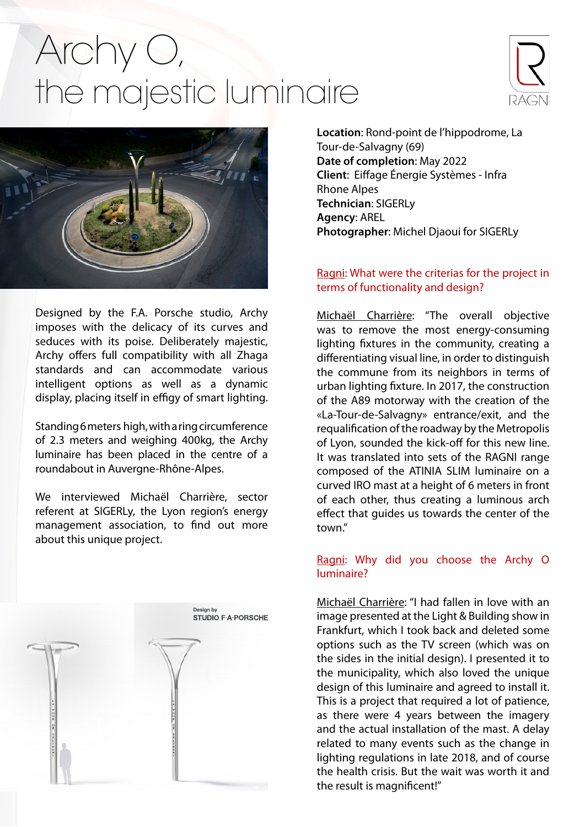## Archy O, the majestic luminaire





Designed by the F.A. Porsche studio, Archy imposes with the delicacy of its curves and seduces with its poise. Deliberately majestic, Archy offers full compatibility with all Zhaga standards and can accommodate various intelligent options as well as a dynamic display, placing itself in effigy of smart lighting.

Standing 6 meters high, with a ring circumference of 2.3 meters and weighing 400kg, the Archy luminaire has been placed in the centre of a roundabout in Auvergne-Rhône-Alpes.

We interviewed Michaël Charrière, sector referent at SIGERLy, the Lyon region's energy management association, to find out more about this unique project.



**Location**: Rond-point de l'hippodrome, La Tour-de-Salvagny (69) **Date of completion**: May 2022 **Client**: Eiffage Énergie Systèmes - Infra Rhone Alpes **Technician**: SIGERLy **Agency**: AREL **Photographer**: Michel Djaoui for SIGERLy

## Ragni: What were the criterias for the project in terms of functionality and design?

Michaël Charrière: "The overall objective was to remove the most energy-consuming lighting fixtures in the community, creating a differentiating visual line, in order to distinguish the commune from its neighbors in terms of urban lighting fixture. In 2017, the construction of the A89 motorway with the creation of the «La-Tour-de-Salvagny» entrance/exit, and the requalification of the roadway by the Metropolis of Lyon, sounded the kick-off for this new line. It was translated into sets of the RAGNI range composed o[f the ATINIA S](https://www.ragni.com/assets/img/ROUTIER/Atinia_slim/DOC/ATINIA_SLIM.pdf)LI[M luminaire on](https://www.ragni.com/assets/img/2_Mats/1_Acier_galvanise/CINTRE/02_DOCS/IRO.pdf) a curved IRO mast at a height of 6 meters in front of each other, thus creating a luminous arch effect that guides us towards the center of the town."

## Ragni: Why did you choose the Archy O luminaire?

Michaël Charrière: "I had fallen in love with an image presented at the Light & Building show in Frankfurt, which I took back and deleted some options such as the TV screen (which was on the sides in the initial design). I presented it to the municipality, which also loved the unique design of this luminaire and agreed to install it. This is a project that required a lot of patience, as there were 4 years between the imagery and the actual installation of the mast. A delay related to many events such as the change in lighting regulations in late 2018, and of course the health crisis. But the wait was worth it and the result is magnificent!"